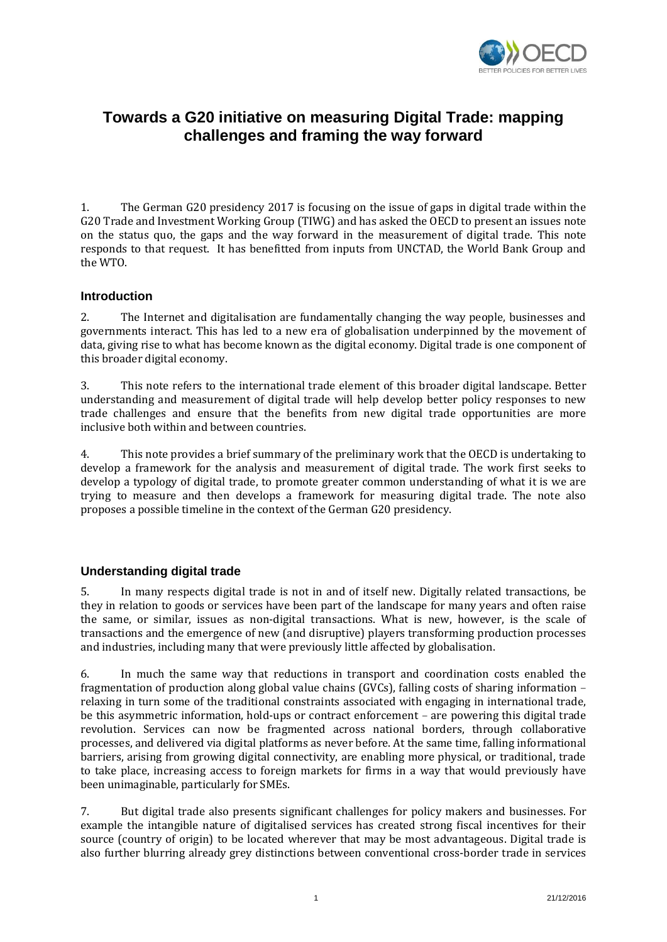

# **Towards a G20 initiative on measuring Digital Trade: mapping challenges and framing the way forward**

1. The German G20 presidency 2017 is focusing on the issue of gaps in digital trade within the G20 Trade and Investment Working Group (TIWG) and has asked the OECD to present an issues note on the status quo, the gaps and the way forward in the measurement of digital trade. This note responds to that request. It has benefitted from inputs from UNCTAD, the World Bank Group and the WTO.

# **Introduction**

2. The Internet and digitalisation are fundamentally changing the way people, businesses and governments interact. This has led to a new era of globalisation underpinned by the movement of data, giving rise to what has become known as the digital economy. Digital trade is one component of this broader digital economy.

3. This note refers to the international trade element of this broader digital landscape. Better understanding and measurement of digital trade will help develop better policy responses to new trade challenges and ensure that the benefits from new digital trade opportunities are more inclusive both within and between countries.

4. This note provides a brief summary of the preliminary work that the OECD is undertaking to develop a framework for the analysis and measurement of digital trade. The work first seeks to develop a typology of digital trade, to promote greater common understanding of what it is we are trying to measure and then develops a framework for measuring digital trade. The note also proposes a possible timeline in the context of the German G20 presidency.

## **Understanding digital trade**

5. In many respects digital trade is not in and of itself new. Digitally related transactions, be they in relation to goods or services have been part of the landscape for many years and often raise the same, or similar, issues as non-digital transactions. What is new, however, is the scale of transactions and the emergence of new (and disruptive) players transforming production processes and industries, including many that were previously little affected by globalisation.

6. In much the same way that reductions in transport and coordination costs enabled the fragmentation of production along global value chains (GVCs), falling costs of sharing information – relaxing in turn some of the traditional constraints associated with engaging in international trade, be this asymmetric information, hold-ups or contract enforcement – are powering this digital trade revolution. Services can now be fragmented across national borders, through collaborative processes, and delivered via digital platforms as never before. At the same time, falling informational barriers, arising from growing digital connectivity, are enabling more physical, or traditional, trade to take place, increasing access to foreign markets for firms in a way that would previously have been unimaginable, particularly for SMEs.

7. But digital trade also presents significant challenges for policy makers and businesses. For example the intangible nature of digitalised services has created strong fiscal incentives for their source (country of origin) to be located wherever that may be most advantageous. Digital trade is also further blurring already grey distinctions between conventional cross-border trade in services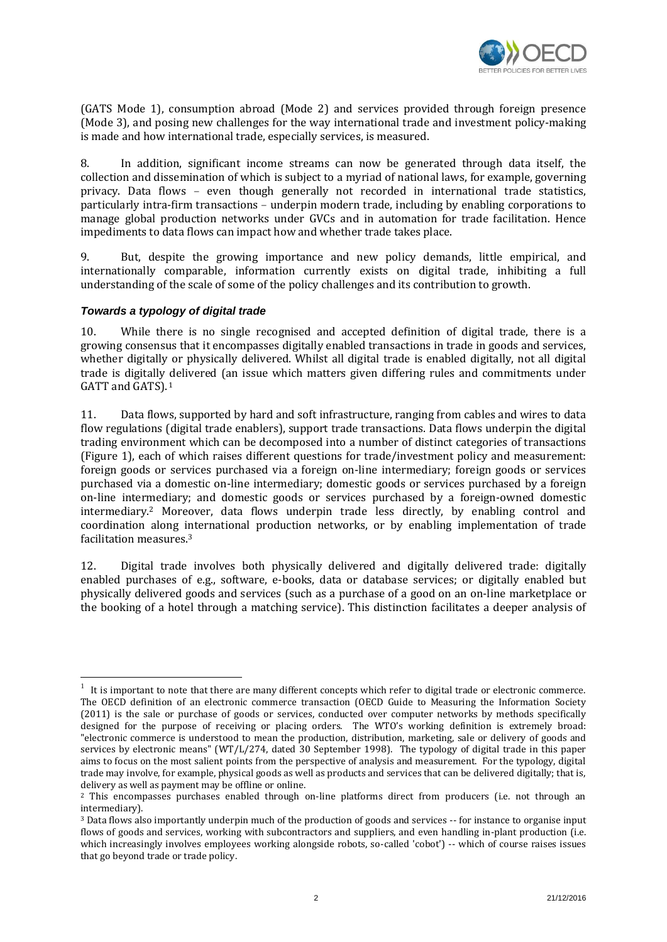

(GATS Mode 1), consumption abroad (Mode 2) and services provided through foreign presence (Mode 3), and posing new challenges for the way international trade and investment policy-making is made and how international trade, especially services, is measured.

8. In addition, significant income streams can now be generated through data itself, the collection and dissemination of which is subject to a myriad of national laws, for example, governing privacy. Data flows – even though generally not recorded in international trade statistics, particularly intra-firm transactions – underpin modern trade, including by enabling corporations to manage global production networks under GVCs and in automation for trade facilitation. Hence impediments to data flows can impact how and whether trade takes place.

9. But, despite the growing importance and new policy demands, little empirical, and internationally comparable, information currently exists on digital trade, inhibiting a full understanding of the scale of some of the policy challenges and its contribution to growth.

## *Towards a typology of digital trade*

-

10. While there is no single recognised and accepted definition of digital trade, there is a growing consensus that it encompasses digitally enabled transactions in trade in goods and services, whether digitally or physically delivered. Whilst all digital trade is enabled digitally, not all digital trade is digitally delivered (an issue which matters given differing rules and commitments under GATT and GATS). 1

11. Data flows, supported by hard and soft infrastructure, ranging from cables and wires to data flow regulations (digital trade enablers), support trade transactions. Data flows underpin the digital trading environment which can be decomposed into a number of distinct categories of transactions (Figure 1), each of which raises different questions for trade/investment policy and measurement: foreign goods or services purchased via a foreign on-line intermediary; foreign goods or services purchased via a domestic on-line intermediary; domestic goods or services purchased by a foreign on-line intermediary; and domestic goods or services purchased by a foreign-owned domestic intermediary. <sup>2</sup> Moreover, data flows underpin trade less directly, by enabling control and coordination along international production networks, or by enabling implementation of trade facilitation measures.<sup>3</sup>

12. Digital trade involves both physically delivered and digitally delivered trade: digitally enabled purchases of e.g., software, e-books, data or database services; or digitally enabled but physically delivered goods and services (such as a purchase of a good on an on-line marketplace or the booking of a hotel through a matching service). This distinction facilitates a deeper analysis of

<sup>1</sup> It is important to note that there are many different concepts which refer to digital trade or electronic commerce. The OECD definition of an electronic commerce transaction (OECD Guide to Measuring the Information Society (2011) is the sale or purchase of goods or services, conducted over computer networks by methods specifically designed for the purpose of receiving or placing orders. The WTO's working definition is extremely broad: "electronic commerce is understood to mean the production, distribution, marketing, sale or delivery of goods and services by electronic means" (WT/L/274, dated 30 September 1998). The typology of digital trade in this paper aims to focus on the most salient points from the perspective of analysis and measurement. For the typology, digital trade may involve, for example, physical goods as well as products and services that can be delivered digitally; that is, delivery as well as payment may be offline or online.

<sup>&</sup>lt;sup>2</sup> This encompasses purchases enabled through on-line platforms direct from producers (i.e. not through an intermediary).

<sup>3</sup> Data flows also importantly underpin much of the production of goods and services -- for instance to organise input flows of goods and services, working with subcontractors and suppliers, and even handling in-plant production (i.e. which increasingly involves employees working alongside robots, so-called 'cobot') -- which of course raises issues that go beyond trade or trade policy.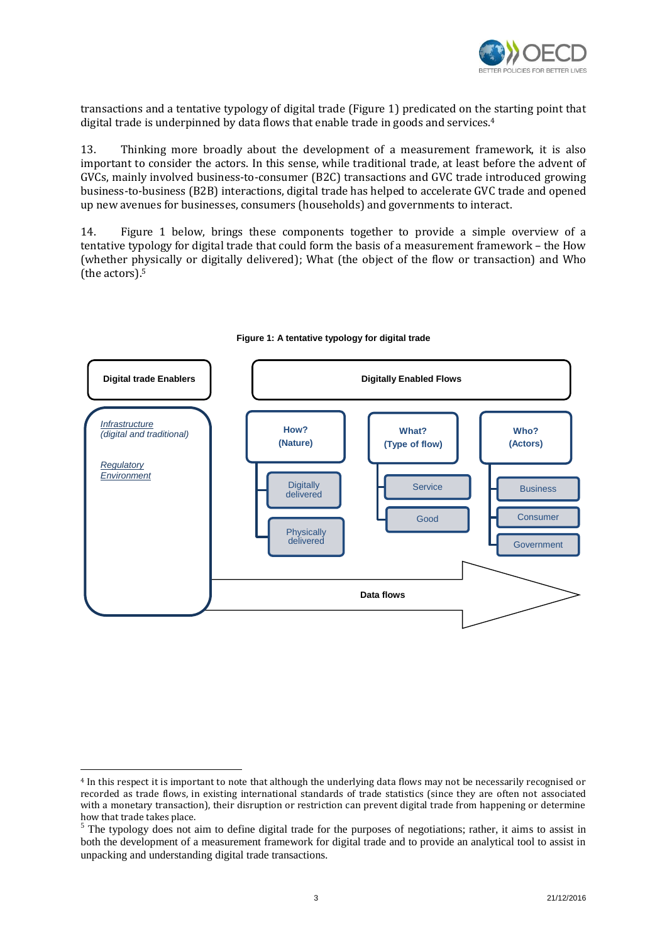

transactions and a tentative typology of digital trade (Figure 1) predicated on the starting point that digital trade is underpinned by data flows that enable trade in goods and services.<sup>4</sup>

13. Thinking more broadly about the development of a measurement framework, it is also important to consider the actors. In this sense, while traditional trade, at least before the advent of GVCs, mainly involved business-to-consumer (B2C) transactions and GVC trade introduced growing business-to-business (B2B) interactions, digital trade has helped to accelerate GVC trade and opened up new avenues for businesses, consumers (households) and governments to interact.

14. Figure 1 below, brings these components together to provide a simple overview of a tentative typology for digital trade that could form the basis of a measurement framework – the How (whether physically or digitally delivered); What (the object of the flow or transaction) and Who (the actors). 5



#### **Figure 1: A tentative typology for digital trade**

-

<sup>4</sup> In this respect it is important to note that although the underlying data flows may not be necessarily recognised or recorded as trade flows, in existing international standards of trade statistics (since they are often not associated with a monetary transaction), their disruption or restriction can prevent digital trade from happening or determine how that trade takes place.

<sup>&</sup>lt;sup>5</sup> The typology does not aim to define digital trade for the purposes of negotiations; rather, it aims to assist in both the development of a measurement framework for digital trade and to provide an analytical tool to assist in unpacking and understanding digital trade transactions.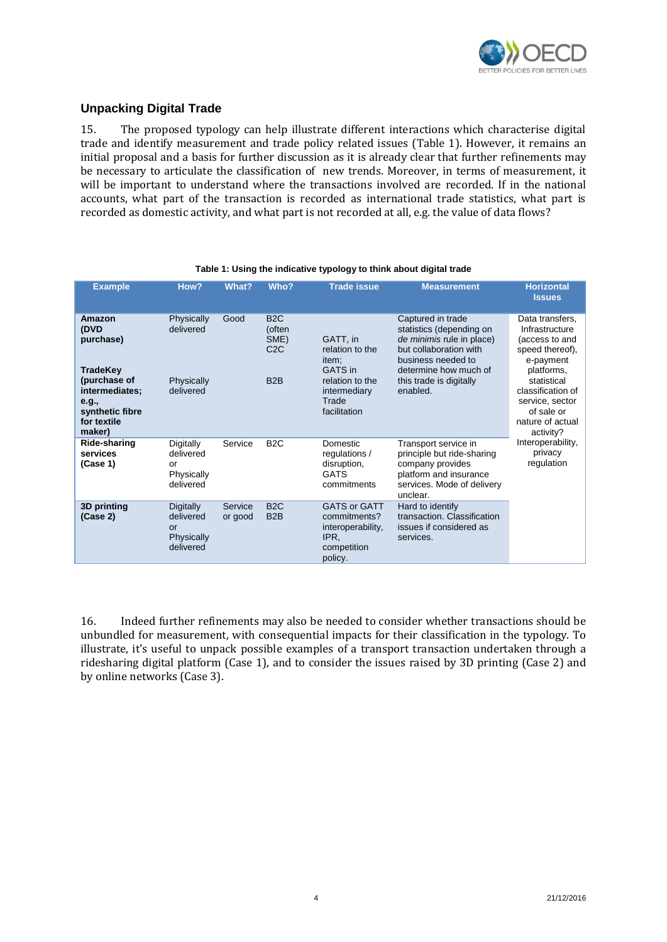

# **Unpacking Digital Trade**

15. The proposed typology can help illustrate different interactions which characterise digital trade and identify measurement and trade policy related issues (Table 1). However, it remains an initial proposal and a basis for further discussion as it is already clear that further refinements may be necessary to articulate the classification of new trends. Moreover, in terms of measurement, it will be important to understand where the transactions involved are recorded. If in the national accounts, what part of the transaction is recorded as international trade statistics, what part is recorded as domestic activity, and what part is not recorded at all, e.g. the value of data flows?

| <b>Example</b>                                                                                                                 | How?                                                    | What?              | Who?                                                          | <b>Trade issue</b>                                                                                          | <b>Measurement</b>                                                                                                                                                                         | <b>Horizontal</b><br><b>Issues</b>                                                                                                                                                                                                                    |
|--------------------------------------------------------------------------------------------------------------------------------|---------------------------------------------------------|--------------------|---------------------------------------------------------------|-------------------------------------------------------------------------------------------------------------|--------------------------------------------------------------------------------------------------------------------------------------------------------------------------------------------|-------------------------------------------------------------------------------------------------------------------------------------------------------------------------------------------------------------------------------------------------------|
| Amazon<br>(DVD<br>purchase)<br>TradeKey<br>(purchase of<br>intermediates;<br>e.g.,<br>synthetic fibre<br>for textile<br>maker) | Physically<br>delivered<br>Physically<br>delivered      | Good               | B <sub>2</sub> C<br>(often<br>SME)<br>C2C<br>B <sub>2</sub> B | GATT, in<br>relation to the<br>item:<br>GATS in<br>relation to the<br>intermediary<br>Trade<br>facilitation | Captured in trade<br>statistics (depending on<br>de minimis rule in place)<br>but collaboration with<br>business needed to<br>determine how much of<br>this trade is digitally<br>enabled. | Data transfers,<br>Infrastructure<br>(access to and<br>speed thereof),<br>e-payment<br>platforms,<br>statistical<br>classification of<br>service, sector<br>of sale or<br>nature of actual<br>activity?<br>Interoperability,<br>privacy<br>regulation |
| Ride-sharing<br>services<br>(Case 1)                                                                                           | Digitally<br>delivered<br>or<br>Physically<br>delivered | Service            | B <sub>2</sub> C                                              | Domestic<br>regulations /<br>disruption,<br><b>GATS</b><br>commitments                                      | Transport service in<br>principle but ride-sharing<br>company provides<br>platform and insurance<br>services. Mode of delivery<br>unclear.                                                 |                                                                                                                                                                                                                                                       |
| 3D printing<br>(Case 2)                                                                                                        | Digitally<br>delivered<br>or<br>Physically<br>delivered | Service<br>or good | B <sub>2</sub> C<br>B <sub>2</sub> B                          | <b>GATS or GATT</b><br>commitments?<br>interoperability,<br>IPR.<br>competition<br>policy.                  | Hard to identify<br>transaction. Classification<br>issues if considered as<br>services.                                                                                                    |                                                                                                                                                                                                                                                       |

#### **Table 1: Using the indicative typology to think about digital trade**

16. Indeed further refinements may also be needed to consider whether transactions should be unbundled for measurement, with consequential impacts for their classification in the typology. To illustrate, it's useful to unpack possible examples of a transport transaction undertaken through a ridesharing digital platform (Case 1), and to consider the issues raised by 3D printing (Case 2) and by online networks (Case 3).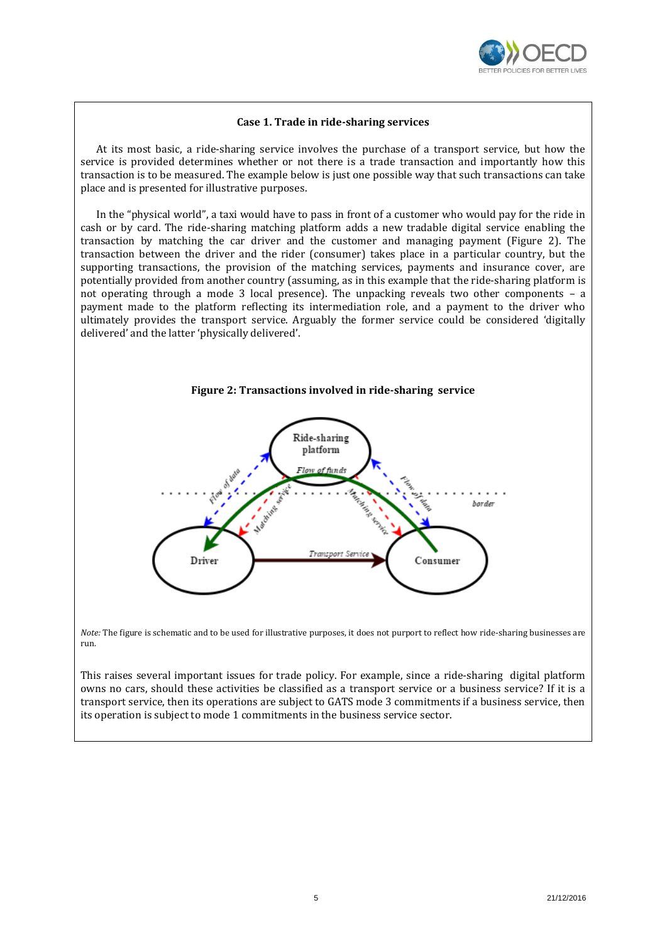

#### **Case 1. Trade in ride-sharing services**

At its most basic, a ride-sharing service involves the purchase of a transport service, but how the service is provided determines whether or not there is a trade transaction and importantly how this transaction is to be measured. The example below is just one possible way that such transactions can take place and is presented for illustrative purposes.

In the "physical world", a taxi would have to pass in front of a customer who would pay for the ride in cash or by card. The ride-sharing matching platform adds a new tradable digital service enabling the transaction by matching the car driver and the customer and managing payment (Figure 2). The transaction between the driver and the rider (consumer) takes place in a particular country, but the supporting transactions, the provision of the matching services, payments and insurance cover, are potentially provided from another country (assuming, as in this example that the ride-sharing platform is not operating through a mode 3 local presence). The unpacking reveals two other components – a payment made to the platform reflecting its intermediation role, and a payment to the driver who ultimately provides the transport service. Arguably the former service could be considered 'digitally delivered' and the latter 'physically delivered'.





*Note:* The figure is schematic and to be used for illustrative purposes, it does not purport to reflect how ride-sharing businesses are run.

This raises several important issues for trade policy. For example, since a ride-sharing digital platform owns no cars, should these activities be classified as a transport service or a business service? If it is a transport service, then its operations are subject to GATS mode 3 commitments if a business service, then its operation is subject to mode 1 commitments in the business service sector.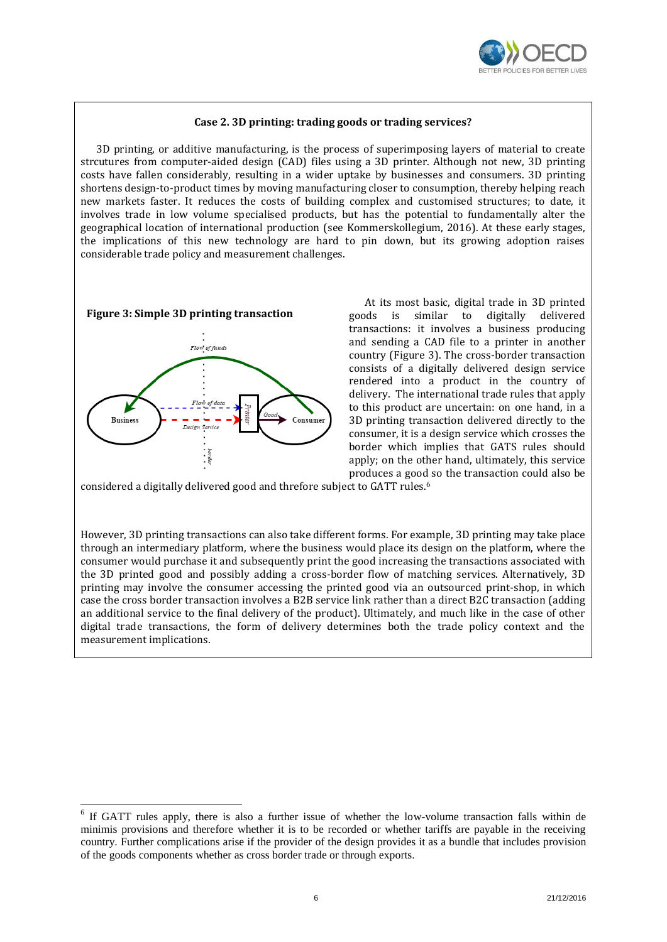

#### **Case 2. 3D printing: trading goods or trading services?**

3D printing, or additive manufacturing, is the process of superimposing layers of material to create strcutures from computer-aided design (CAD) files using a 3D printer. Although not new, 3D printing costs have fallen considerably, resulting in a wider uptake by businesses and consumers. 3D printing shortens design-to-product times by moving manufacturing closer to consumption, thereby helping reach new markets faster. It reduces the costs of building complex and customised structures; to date, it involves trade in low volume specialised products, but has the potential to fundamentally alter the geographical location of international production (see Kommerskollegium, 2016). At these early stages, the implications of this new technology are hard to pin down, but its growing adoption raises considerable trade policy and measurement challenges.



1



At its most basic, digital trade in 3D printed goods is similar to digitally delivered transactions: it involves a business producing and sending a CAD file to a printer in another country (Figure 3). The cross-border transaction consists of a digitally delivered design service rendered into a product in the country of delivery. The international trade rules that apply to this product are uncertain: on one hand, in a 3D printing transaction delivered directly to the consumer, it is a design service which crosses the border which implies that GATS rules should apply; on the other hand, ultimately, this service produces a good so the transaction could also be

considered a digitally delivered good and threfore subject to GATT rules.<sup>6</sup>

However, 3D printing transactions can also take different forms. For example, 3D printing may take place through an intermediary platform, where the business would place its design on the platform, where the consumer would purchase it and subsequently print the good increasing the transactions associated with the 3D printed good and possibly adding a cross-border flow of matching services. Alternatively, 3D printing may involve the consumer accessing the printed good via an outsourced print-shop, in which case the cross border transaction involves a B2B service link rather than a direct B2C transaction (adding an additional service to the final delivery of the product). Ultimately, and much like in the case of other digital trade transactions, the form of delivery determines both the trade policy context and the measurement implications.

<sup>&</sup>lt;sup>6</sup> If GATT rules apply, there is also a further issue of whether the low-volume transaction falls within de minimis provisions and therefore whether it is to be recorded or whether tariffs are payable in the receiving country. Further complications arise if the provider of the design provides it as a bundle that includes provision of the goods components whether as cross border trade or through exports.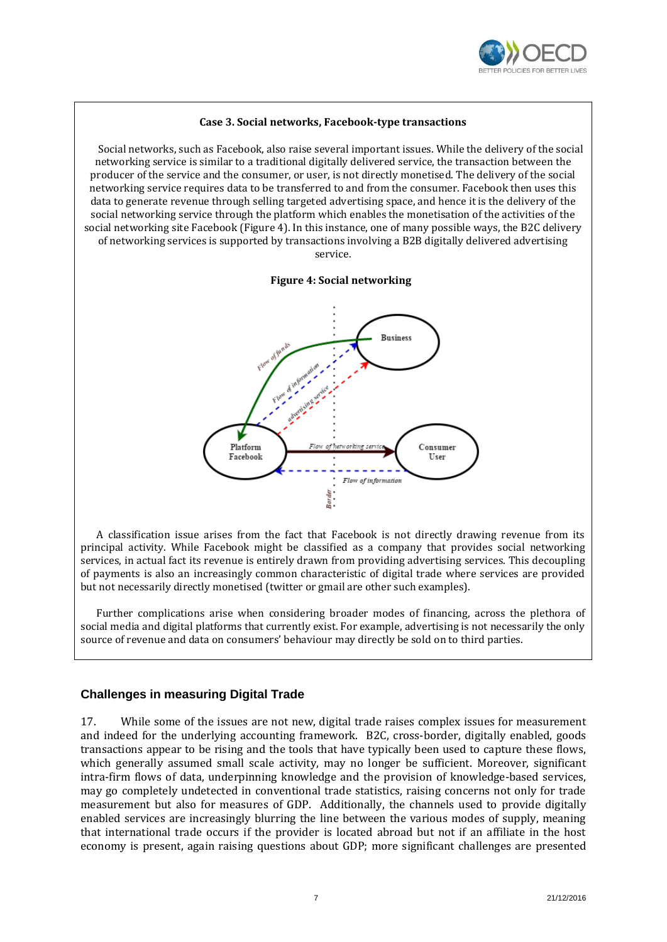

#### **Case 3. Social networks, Facebook-type transactions**

Social networks, such as Facebook, also raise several important issues. While the delivery of the social networking service is similar to a traditional digitally delivered service, the transaction between the producer of the service and the consumer, or user, is not directly monetised. The delivery of the social networking service requires data to be transferred to and from the consumer. Facebook then uses this data to generate revenue through selling targeted advertising space, and hence it is the delivery of the social networking service through the platform which enables the monetisation of the activities of the social networking site Facebook (Figure 4). In this instance, one of many possible ways, the B2C delivery of networking services is supported by transactions involving a B2B digitally delivered advertising service.

#### **Figure 4: Social networking**



A classification issue arises from the fact that Facebook is not directly drawing revenue from its principal activity. While Facebook might be classified as a company that provides social networking services, in actual fact its revenue is entirely drawn from providing advertising services. This decoupling of payments is also an increasingly common characteristic of digital trade where services are provided but not necessarily directly monetised (twitter or gmail are other such examples).

Further complications arise when considering broader modes of financing, across the plethora of social media and digital platforms that currently exist. For example, advertising is not necessarily the only source of revenue and data on consumers' behaviour may directly be sold on to third parties.

## **Challenges in measuring Digital Trade**

17. While some of the issues are not new, digital trade raises complex issues for measurement and indeed for the underlying accounting framework. B2C, cross-border, digitally enabled, goods transactions appear to be rising and the tools that have typically been used to capture these flows, which generally assumed small scale activity, may no longer be sufficient. Moreover, significant intra-firm flows of data, underpinning knowledge and the provision of knowledge-based services, may go completely undetected in conventional trade statistics, raising concerns not only for trade measurement but also for measures of GDP. Additionally, the channels used to provide digitally enabled services are increasingly blurring the line between the various modes of supply, meaning that international trade occurs if the provider is located abroad but not if an affiliate in the host economy is present, again raising questions about GDP; more significant challenges are presented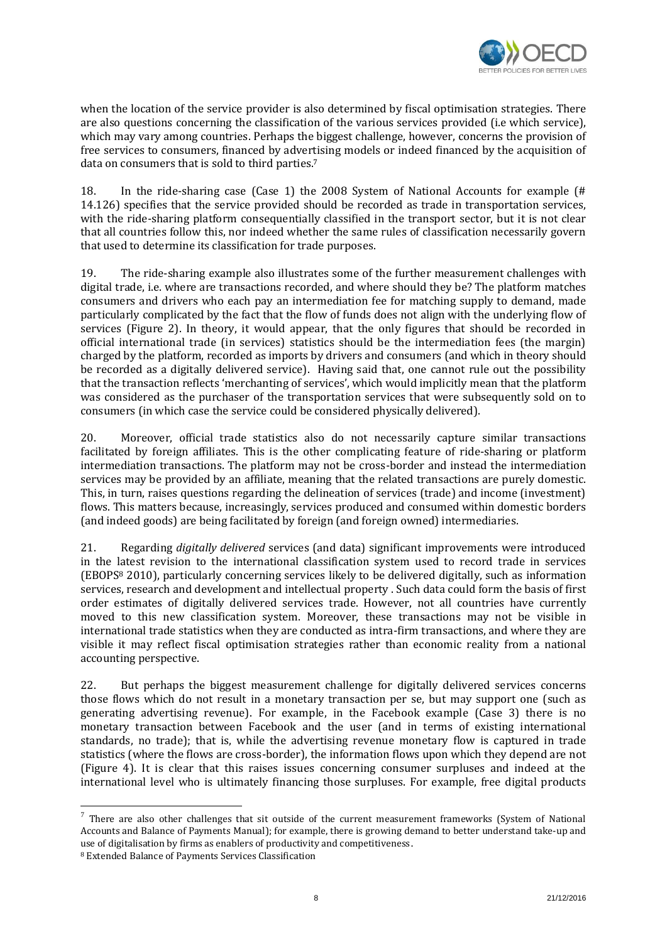

when the location of the service provider is also determined by fiscal optimisation strategies. There are also questions concerning the classification of the various services provided (i.e which service), which may vary among countries. Perhaps the biggest challenge, however, concerns the provision of free services to consumers, financed by advertising models or indeed financed by the acquisition of data on consumers that is sold to third parties. 7

18. In the ride-sharing case (Case 1) the 2008 System of National Accounts for example (# 14.126) specifies that the service provided should be recorded as trade in transportation services, with the ride-sharing platform consequentially classified in the transport sector, but it is not clear that all countries follow this, nor indeed whether the same rules of classification necessarily govern that used to determine its classification for trade purposes.

19. The ride-sharing example also illustrates some of the further measurement challenges with digital trade, i.e. where are transactions recorded, and where should they be? The platform matches consumers and drivers who each pay an intermediation fee for matching supply to demand, made particularly complicated by the fact that the flow of funds does not align with the underlying flow of services (Figure 2). In theory, it would appear, that the only figures that should be recorded in official international trade (in services) statistics should be the intermediation fees (the margin) charged by the platform, recorded as imports by drivers and consumers (and which in theory should be recorded as a digitally delivered service). Having said that, one cannot rule out the possibility that the transaction reflects 'merchanting of services', which would implicitly mean that the platform was considered as the purchaser of the transportation services that were subsequently sold on to consumers (in which case the service could be considered physically delivered).

20. Moreover, official trade statistics also do not necessarily capture similar transactions facilitated by foreign affiliates. This is the other complicating feature of ride-sharing or platform intermediation transactions. The platform may not be cross-border and instead the intermediation services may be provided by an affiliate, meaning that the related transactions are purely domestic. This, in turn, raises questions regarding the delineation of services (trade) and income (investment) flows. This matters because, increasingly, services produced and consumed within domestic borders (and indeed goods) are being facilitated by foreign (and foreign owned) intermediaries.

21. Regarding *digitally delivered* services (and data) significant improvements were introduced in the latest revision to the international classification system used to record trade in services (EBOPS<sup>8</sup> 2010), particularly concerning services likely to be delivered digitally, such as information services, research and development and intellectual property . Such data could form the basis of first order estimates of digitally delivered services trade. However, not all countries have currently moved to this new classification system. Moreover, these transactions may not be visible in international trade statistics when they are conducted as intra-firm transactions, and where they are visible it may reflect fiscal optimisation strategies rather than economic reality from a national accounting perspective.

22. But perhaps the biggest measurement challenge for digitally delivered services concerns those flows which do not result in a monetary transaction per se, but may support one (such as generating advertising revenue). For example, in the Facebook example (Case 3) there is no monetary transaction between Facebook and the user (and in terms of existing international standards, no trade); that is, while the advertising revenue monetary flow is captured in trade statistics (where the flows are cross-border), the information flows upon which they depend are not (Figure 4). It is clear that this raises issues concerning consumer surpluses and indeed at the international level who is ultimately financing those surpluses. For example, free digital products

There are also other challenges that sit outside of the current measurement frameworks (System of National  $^7$  There are also other challenges that sit outside of the current measurement frameworks (System of National Accounts and Balance of Payments Manual); for example, there is growing demand to better understand take-up and use of digitalisation by firms as enablers of productivity and competitiveness.

<sup>8</sup> Extended Balance of Payments Services Classification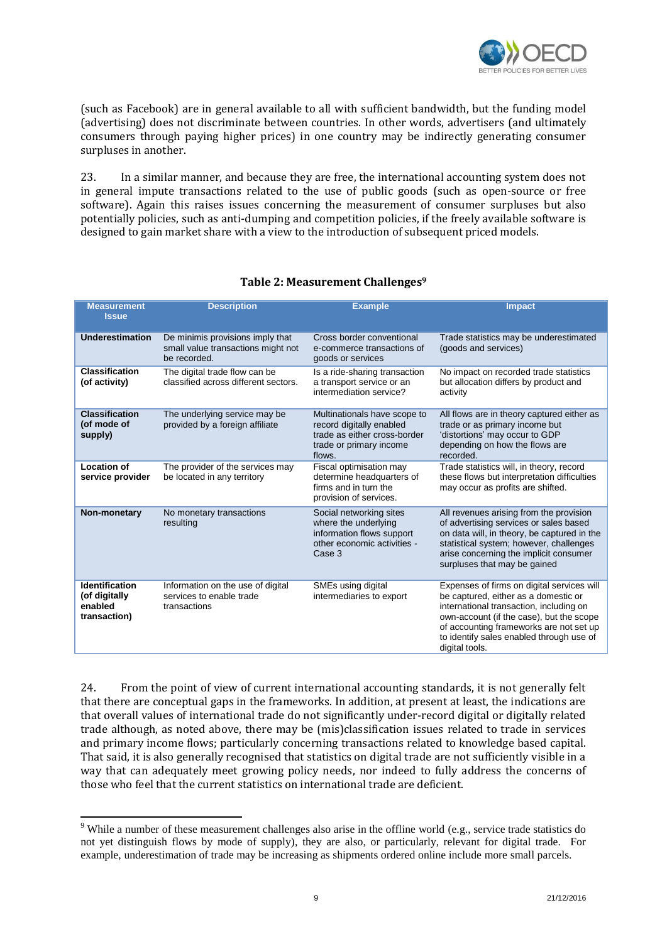

(such as Facebook) are in general available to all with sufficient bandwidth, but the funding model (advertising) does not discriminate between countries. In other words, advertisers (and ultimately consumers through paying higher prices) in one country may be indirectly generating consumer surpluses in another.

23. In a similar manner, and because they are free, the international accounting system does not in general impute transactions related to the use of public goods (such as open-source or free software). Again this raises issues concerning the measurement of consumer surpluses but also potentially policies, such as anti-dumping and competition policies, if the freely available software is designed to gain market share with a view to the introduction of subsequent priced models.

| <b>Measurement</b><br><b>Issue</b>                                | <b>Description</b>                                                                     | <b>Example</b>                                                                                                                | <b>Impact</b>                                                                                                                                                                                                                                                                      |
|-------------------------------------------------------------------|----------------------------------------------------------------------------------------|-------------------------------------------------------------------------------------------------------------------------------|------------------------------------------------------------------------------------------------------------------------------------------------------------------------------------------------------------------------------------------------------------------------------------|
| Underestimation                                                   | De minimis provisions imply that<br>small value transactions might not<br>be recorded. | Cross border conventional<br>e-commerce transactions of<br>goods or services                                                  | Trade statistics may be underestimated<br>(goods and services)                                                                                                                                                                                                                     |
| <b>Classification</b><br>(of activity)                            | The digital trade flow can be<br>classified across different sectors.                  | Is a ride-sharing transaction<br>a transport service or an<br>intermediation service?                                         | No impact on recorded trade statistics<br>but allocation differs by product and<br>activity                                                                                                                                                                                        |
| <b>Classification</b><br>(of mode of<br>supply)                   | The underlying service may be<br>provided by a foreign affiliate                       | Multinationals have scope to<br>record digitally enabled<br>trade as either cross-border<br>trade or primary income<br>flows. | All flows are in theory captured either as<br>trade or as primary income but<br>'distortions' may occur to GDP<br>depending on how the flows are<br>recorded.                                                                                                                      |
| Location of<br>service provider                                   | The provider of the services may<br>be located in any territory                        | Fiscal optimisation may<br>determine headquarters of<br>firms and in turn the<br>provision of services.                       | Trade statistics will, in theory, record<br>these flows but interpretation difficulties<br>may occur as profits are shifted.                                                                                                                                                       |
| Non-monetary                                                      | No monetary transactions<br>resulting                                                  | Social networking sites<br>where the underlying<br>information flows support<br>other economic activities -<br>Case 3         | All revenues arising from the provision<br>of advertising services or sales based<br>on data will, in theory, be captured in the<br>statistical system; however, challenges<br>arise concerning the implicit consumer<br>surpluses that may be gained                              |
| <b>Identification</b><br>(of digitally<br>enabled<br>transaction) | Information on the use of digital<br>services to enable trade<br>transactions          | SMEs using digital<br>intermediaries to export                                                                                | Expenses of firms on digital services will<br>be captured, either as a domestic or<br>international transaction, including on<br>own-account (if the case), but the scope<br>of accounting frameworks are not set up<br>to identify sales enabled through use of<br>digital tools. |

# **Table 2: Measurement Challenges<sup>9</sup>**

24. From the point of view of current international accounting standards, it is not generally felt that there are conceptual gaps in the frameworks. In addition, at present at least, the indications are that overall values of international trade do not significantly under-record digital or digitally related trade although, as noted above, there may be (mis)classification issues related to trade in services and primary income flows; particularly concerning transactions related to knowledge based capital. That said, it is also generally recognised that statistics on digital trade are not sufficiently visible in a way that can adequately meet growing policy needs, nor indeed to fully address the concerns of those who feel that the current statistics on international trade are deficient.

1

<sup>&</sup>lt;sup>9</sup> While a number of these measurement challenges also arise in the offline world (e.g., service trade statistics do not yet distinguish flows by mode of supply), they are also, or particularly, relevant for digital trade. For example, underestimation of trade may be increasing as shipments ordered online include more small parcels.